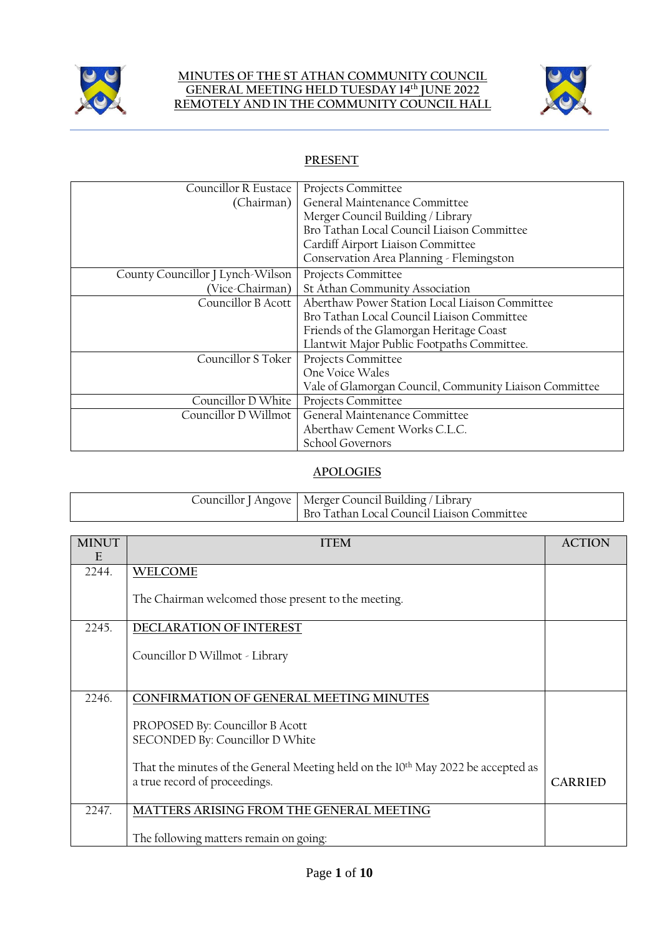

### **MINUTES OF THE ST ATHAN COMMUNITY COUNCIL GENERAL MEETING HELD TUESDAY 14 th JUNE 2022 REMOTELY AND IN THE COMMUNITY COUNCIL HALL**



# **PRESENT**

| Councillor R Eustace             | Projects Committee                                     |
|----------------------------------|--------------------------------------------------------|
| (Chairman)                       | General Maintenance Committee                          |
|                                  | Merger Council Building / Library                      |
|                                  | Bro Tathan Local Council Liaison Committee             |
|                                  | Cardiff Airport Liaison Committee                      |
|                                  | Conservation Area Planning - Flemingston               |
| County Councillor J Lynch-Wilson | Projects Committee                                     |
| (Vice-Chairman)                  | St Athan Community Association                         |
| Councillor B Acott               | Aberthaw Power Station Local Liaison Committee         |
|                                  | Bro Tathan Local Council Liaison Committee             |
|                                  | Friends of the Glamorgan Heritage Coast                |
|                                  | Llantwit Major Public Footpaths Committee.             |
| Councillor S Toker               | Projects Committee                                     |
|                                  | One Voice Wales                                        |
|                                  | Vale of Glamorgan Council, Community Liaison Committee |
| Councillor D White               | Projects Committee                                     |
| Councillor D Willmot             | General Maintenance Committee                          |
|                                  | Aberthaw Cement Works C.L.C.                           |
|                                  | School Governors                                       |

# **APOLOGIES**

|  | Councillor J Angove   Merger Council Building / Library<br>Bro Tathan Local Council Liaison Committee |
|--|-------------------------------------------------------------------------------------------------------|
|--|-------------------------------------------------------------------------------------------------------|

| <b>MINUT</b><br>E | <b>ITEM</b>                                                                                                                   | <b>ACTION</b>  |
|-------------------|-------------------------------------------------------------------------------------------------------------------------------|----------------|
| 2244.             | <b>WELCOME</b>                                                                                                                |                |
|                   | The Chairman welcomed those present to the meeting.                                                                           |                |
| 2245.             | DECLARATION OF INTEREST                                                                                                       |                |
|                   | Councillor D Willmot - Library                                                                                                |                |
| 2246.             | CONFIRMATION OF GENERAL MEETING MINUTES                                                                                       |                |
|                   | PROPOSED By: Councillor B Acott<br>SECONDED By: Councillor D White                                                            |                |
|                   | That the minutes of the General Meeting held on the 10 <sup>th</sup> May 2022 be accepted as<br>a true record of proceedings. | <b>CARRIED</b> |
| 2247.             | MATTERS ARISING FROM THE GENERAL MEETING                                                                                      |                |
|                   | The following matters remain on going:                                                                                        |                |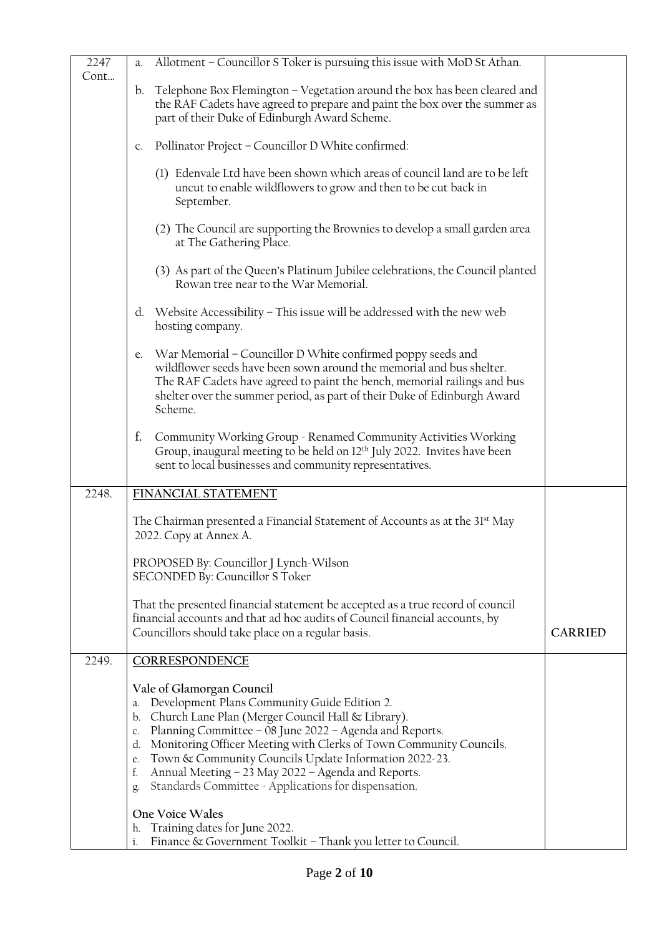| 2247<br>Cont… | Allotment - Councillor S Toker is pursuing this issue with MoD St Athan.<br>a.                                                                                                                                                                                                                                                                                                                                                                                                   |                |
|---------------|----------------------------------------------------------------------------------------------------------------------------------------------------------------------------------------------------------------------------------------------------------------------------------------------------------------------------------------------------------------------------------------------------------------------------------------------------------------------------------|----------------|
|               | b. Telephone Box Flemington - Vegetation around the box has been cleared and<br>the RAF Cadets have agreed to prepare and paint the box over the summer as<br>part of their Duke of Edinburgh Award Scheme.                                                                                                                                                                                                                                                                      |                |
|               |                                                                                                                                                                                                                                                                                                                                                                                                                                                                                  |                |
|               | Pollinator Project - Councillor D White confirmed:<br>C <sub>1</sub>                                                                                                                                                                                                                                                                                                                                                                                                             |                |
|               | (1) Edenvale Ltd have been shown which areas of council land are to be left<br>uncut to enable wildflowers to grow and then to be cut back in<br>September.                                                                                                                                                                                                                                                                                                                      |                |
|               | (2) The Council are supporting the Brownies to develop a small garden area<br>at The Gathering Place.                                                                                                                                                                                                                                                                                                                                                                            |                |
|               | (3) As part of the Queen's Platinum Jubilee celebrations, the Council planted<br>Rowan tree near to the War Memorial.                                                                                                                                                                                                                                                                                                                                                            |                |
|               | Website Accessibility - This issue will be addressed with the new web<br>d.<br>hosting company.                                                                                                                                                                                                                                                                                                                                                                                  |                |
|               | War Memorial - Councillor D White confirmed poppy seeds and<br>e.<br>wildflower seeds have been sown around the memorial and bus shelter.<br>The RAF Cadets have agreed to paint the bench, memorial railings and bus<br>shelter over the summer period, as part of their Duke of Edinburgh Award<br>Scheme.                                                                                                                                                                     |                |
|               | f.<br>Community Working Group - Renamed Community Activities Working<br>Group, inaugural meeting to be held on 12 <sup>th</sup> July 2022. Invites have been<br>sent to local businesses and community representatives.                                                                                                                                                                                                                                                          |                |
| 2248.         | FINANCIAL STATEMENT                                                                                                                                                                                                                                                                                                                                                                                                                                                              |                |
|               | The Chairman presented a Financial Statement of Accounts as at the 31st May<br>2022. Copy at Annex A.                                                                                                                                                                                                                                                                                                                                                                            |                |
|               | PROPOSED By: Councillor J Lynch-Wilson<br>SECONDED By: Councillor S Toker                                                                                                                                                                                                                                                                                                                                                                                                        |                |
|               | That the presented financial statement be accepted as a true record of council<br>financial accounts and that ad hoc audits of Council financial accounts, by<br>Councillors should take place on a regular basis.                                                                                                                                                                                                                                                               | <b>CARRIED</b> |
| 2249.         | CORRESPONDENCE                                                                                                                                                                                                                                                                                                                                                                                                                                                                   |                |
|               | Vale of Glamorgan Council<br>Development Plans Community Guide Edition 2.<br>а.<br>Church Lane Plan (Merger Council Hall & Library).<br>b.<br>Planning Committee - 08 June 2022 - Agenda and Reports.<br>C.<br>Monitoring Officer Meeting with Clerks of Town Community Councils.<br>d.<br>Town & Community Councils Update Information 2022-23.<br>e.<br>Annual Meeting - 23 May 2022 - Agenda and Reports.<br>f.<br>Standards Committee - Applications for dispensation.<br>g. |                |
|               | One Voice Wales<br>Training dates for June 2022.<br>h.<br>Finance & Government Toolkit - Thank you letter to Council.<br>i.                                                                                                                                                                                                                                                                                                                                                      |                |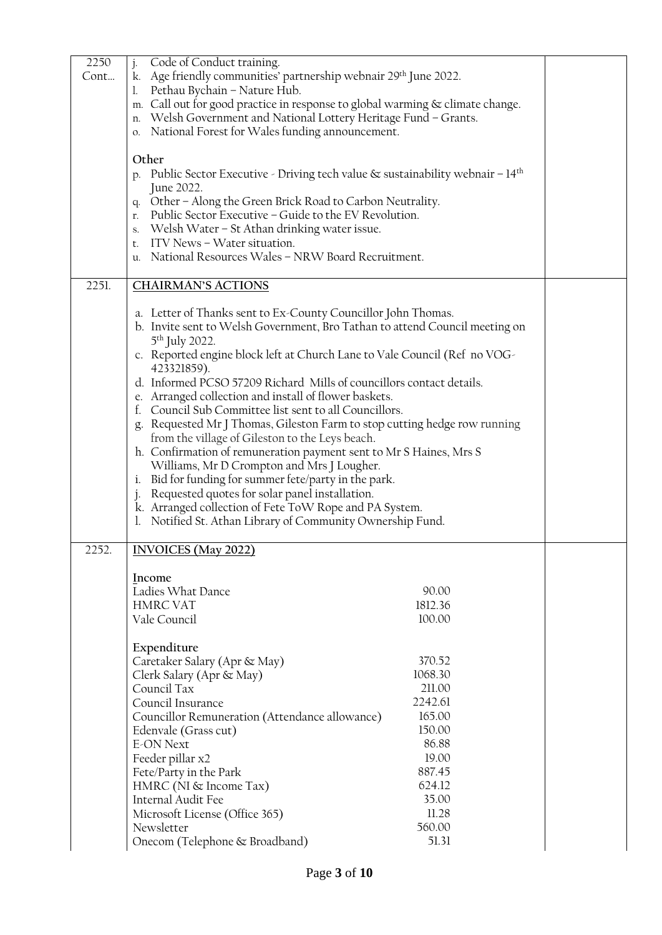| 2250  | Code of Conduct training.<br>$j$ .                                                             |         |  |
|-------|------------------------------------------------------------------------------------------------|---------|--|
| Cont  | k. Age friendly communities' partnership webnair 29th June 2022.                               |         |  |
|       | Pethau Bychain - Nature Hub.                                                                   |         |  |
|       | m. Call out for good practice in response to global warming & climate change.                  |         |  |
|       | Welsh Government and National Lottery Heritage Fund - Grants.<br>n.                            |         |  |
|       | National Forest for Wales funding announcement.<br>0.                                          |         |  |
|       |                                                                                                |         |  |
|       | Other                                                                                          |         |  |
|       | p. Public Sector Executive - Driving tech value $\&$ sustainability webnair – 14 <sup>th</sup> |         |  |
|       | June 2022.                                                                                     |         |  |
|       | Other - Along the Green Brick Road to Carbon Neutrality.<br>q.                                 |         |  |
|       | Public Sector Executive - Guide to the EV Revolution.<br>r.                                    |         |  |
|       | Welsh Water - St Athan drinking water issue.<br>S.                                             |         |  |
|       | ITV News - Water situation.<br>t.                                                              |         |  |
|       | National Resources Wales - NRW Board Recruitment.<br>u.                                        |         |  |
|       |                                                                                                |         |  |
| 2251. | <b>CHAIRMAN'S ACTIONS</b>                                                                      |         |  |
|       | a. Letter of Thanks sent to Ex-County Councillor John Thomas.                                  |         |  |
|       | b. Invite sent to Welsh Government, Bro Tathan to attend Council meeting on                    |         |  |
|       | 5 <sup>th</sup> July 2022.                                                                     |         |  |
|       | c. Reported engine block left at Church Lane to Vale Council (Ref no VOG-                      |         |  |
|       | 423321859).<br>d. Informed PCSO 57209 Richard Mills of councillors contact details.            |         |  |
|       | e. Arranged collection and install of flower baskets.                                          |         |  |
|       | Council Sub Committee list sent to all Councillors.                                            |         |  |
|       | g. Requested Mr J Thomas, Gileston Farm to stop cutting hedge row running                      |         |  |
|       | from the village of Gileston to the Leys beach.                                                |         |  |
|       | h. Confirmation of remuneration payment sent to Mr S Haines, Mrs S                             |         |  |
|       | Williams, Mr D Crompton and Mrs J Lougher.                                                     |         |  |
|       | Bid for funding for summer fete/party in the park.<br>ĺ.                                       |         |  |
|       | Requested quotes for solar panel installation.                                                 |         |  |
|       | k. Arranged collection of Fete ToW Rope and PA System.                                         |         |  |
|       | Notified St. Athan Library of Community Ownership Fund.                                        |         |  |
|       |                                                                                                |         |  |
| 2252  | <b>INVOICES</b> (May 2022)                                                                     |         |  |
|       | Income                                                                                         |         |  |
|       | Ladies What Dance                                                                              | 90.00   |  |
|       | <b>HMRC VAT</b>                                                                                | 1812.36 |  |
|       | Vale Council                                                                                   | 100.00  |  |
|       |                                                                                                |         |  |
|       | Expenditure                                                                                    |         |  |
|       | Caretaker Salary (Apr & May)                                                                   | 370.52  |  |
|       | Clerk Salary (Apr & May)                                                                       | 1068.30 |  |
|       | Council Tax                                                                                    | 211.00  |  |
|       | Council Insurance                                                                              | 2242.61 |  |
|       | Councillor Remuneration (Attendance allowance)                                                 | 165.00  |  |
|       | Edenvale (Grass cut)                                                                           | 150.00  |  |
|       | <b>E-ON Next</b>                                                                               | 86.88   |  |
|       | Feeder pillar x2                                                                               | 19.00   |  |
|       | Fete/Party in the Park                                                                         | 887.45  |  |
|       | HMRC (NI & Income Tax)                                                                         | 624.12  |  |
|       | Internal Audit Fee                                                                             | 35.00   |  |
|       | Microsoft License (Office 365)                                                                 | 11.28   |  |
|       | Newsletter                                                                                     | 560.00  |  |
|       | Onecom (Telephone & Broadband)                                                                 | 51.31   |  |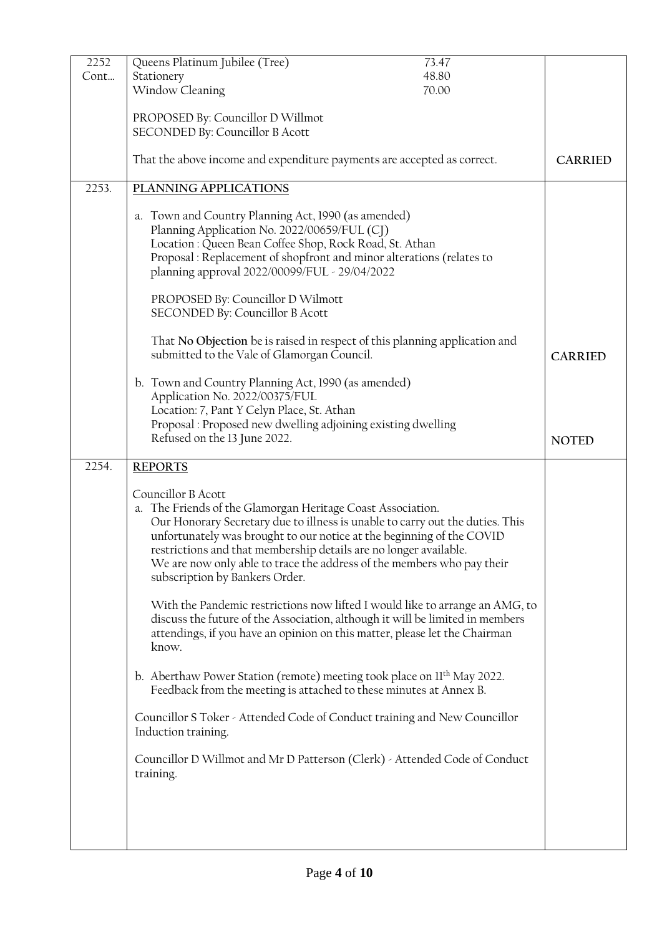| 2252  | Queens Platinum Jubilee (Tree)<br>73.47                                                                                                                                                                                                                                                                                                                                                                                      |                |
|-------|------------------------------------------------------------------------------------------------------------------------------------------------------------------------------------------------------------------------------------------------------------------------------------------------------------------------------------------------------------------------------------------------------------------------------|----------------|
| Cont  | Stationery<br>48.80                                                                                                                                                                                                                                                                                                                                                                                                          |                |
|       | Window Cleaning<br>70.00                                                                                                                                                                                                                                                                                                                                                                                                     |                |
|       |                                                                                                                                                                                                                                                                                                                                                                                                                              |                |
|       | PROPOSED By: Councillor D Willmot                                                                                                                                                                                                                                                                                                                                                                                            |                |
|       | SECONDED By: Councillor B Acott                                                                                                                                                                                                                                                                                                                                                                                              |                |
|       | That the above income and expenditure payments are accepted as correct.                                                                                                                                                                                                                                                                                                                                                      | <b>CARRIED</b> |
| 2253. | PLANNING APPLICATIONS                                                                                                                                                                                                                                                                                                                                                                                                        |                |
|       | a. Town and Country Planning Act, 1990 (as amended)<br>Planning Application No. 2022/00659/FUL (CJ)<br>Location: Queen Bean Coffee Shop, Rock Road, St. Athan<br>Proposal : Replacement of shopfront and minor alterations (relates to<br>planning approval 2022/00099/FUL - 29/04/2022                                                                                                                                      |                |
|       | PROPOSED By: Councillor D Wilmott<br>SECONDED By: Councillor B Acott                                                                                                                                                                                                                                                                                                                                                         |                |
|       | That No Objection be is raised in respect of this planning application and<br>submitted to the Vale of Glamorgan Council.                                                                                                                                                                                                                                                                                                    | <b>CARRIED</b> |
|       | b. Town and Country Planning Act, 1990 (as amended)<br>Application No. 2022/00375/FUL<br>Location: 7, Pant Y Celyn Place, St. Athan<br>Proposal : Proposed new dwelling adjoining existing dwelling<br>Refused on the 13 June 2022.                                                                                                                                                                                          | <b>NOTED</b>   |
| 2254. | <b>REPORTS</b>                                                                                                                                                                                                                                                                                                                                                                                                               |                |
|       | Councillor B Acott<br>a. The Friends of the Glamorgan Heritage Coast Association.<br>Our Honorary Secretary due to illness is unable to carry out the duties. This<br>unfortunately was brought to our notice at the beginning of the COVID<br>restrictions and that membership details are no longer available.<br>We are now only able to trace the address of the members who pay their<br>subscription by Bankers Order. |                |
|       | With the Pandemic restrictions now lifted I would like to arrange an AMG, to<br>discuss the future of the Association, although it will be limited in members<br>attendings, if you have an opinion on this matter, please let the Chairman<br>know.                                                                                                                                                                         |                |
|       | b. Aberthaw Power Station (remote) meeting took place on II <sup>th</sup> May 2022.<br>Feedback from the meeting is attached to these minutes at Annex B.                                                                                                                                                                                                                                                                    |                |
|       | Councillor S Toker - Attended Code of Conduct training and New Councillor<br>Induction training.                                                                                                                                                                                                                                                                                                                             |                |
|       | Councillor D Willmot and Mr D Patterson (Clerk) - Attended Code of Conduct<br>training.                                                                                                                                                                                                                                                                                                                                      |                |
|       |                                                                                                                                                                                                                                                                                                                                                                                                                              |                |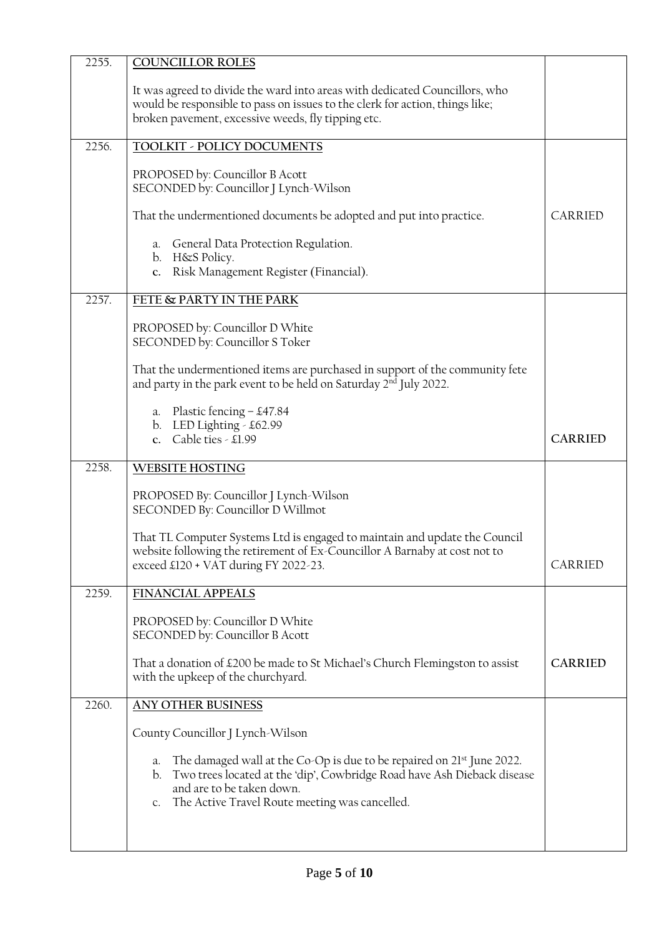| 2255. | <b>COUNCILLOR ROLES</b>                                                                                                                                                                                                                                  |                |
|-------|----------------------------------------------------------------------------------------------------------------------------------------------------------------------------------------------------------------------------------------------------------|----------------|
|       | It was agreed to divide the ward into areas with dedicated Councillors, who<br>would be responsible to pass on issues to the clerk for action, things like;<br>broken pavement, excessive weeds, fly tipping etc.                                        |                |
| 2256. | TOOLKIT - POLICY DOCUMENTS                                                                                                                                                                                                                               |                |
|       | PROPOSED by: Councillor B Acott<br>SECONDED by: Councillor J Lynch-Wilson<br>That the undermentioned documents be adopted and put into practice.<br>a. General Data Protection Regulation.<br>b. H&S Policy.<br>c. Risk Management Register (Financial). | CARRIED        |
|       |                                                                                                                                                                                                                                                          |                |
| 2257. | FETE & PARTY IN THE PARK                                                                                                                                                                                                                                 |                |
|       | PROPOSED by: Councillor D White<br>SECONDED by: Councillor S Toker                                                                                                                                                                                       |                |
|       | That the undermentioned items are purchased in support of the community fete<br>and party in the park event to be held on Saturday 2 <sup>nd</sup> July 2022.                                                                                            |                |
|       | a. Plastic fencing $-$ £47.84<br>b. LED Lighting - £62.99<br>c. Cable ties - £1.99                                                                                                                                                                       | <b>CARRIED</b> |
| 2258. | <b>WEBSITE HOSTING</b>                                                                                                                                                                                                                                   |                |
|       | PROPOSED By: Councillor J Lynch-Wilson<br>SECONDED By: Councillor D Willmot                                                                                                                                                                              |                |
|       | That TL Computer Systems Ltd is engaged to maintain and update the Council<br>website following the retirement of Ex-Councillor A Barnaby at cost not to<br>exceed £120 + VAT during FY 2022-23.                                                         | CARRIED        |
| 2259. | <b>FINANCIAL APPEALS</b>                                                                                                                                                                                                                                 |                |
|       | PROPOSED by: Councillor D White<br>SECONDED by: Councillor B Acott                                                                                                                                                                                       |                |
|       | That a donation of £200 be made to St Michael's Church Flemingston to assist<br>with the upkeep of the churchyard.                                                                                                                                       | <b>CARRIED</b> |
| 2260. | <b>ANY OTHER BUSINESS</b>                                                                                                                                                                                                                                |                |
|       | County Councillor J Lynch-Wilson                                                                                                                                                                                                                         |                |
|       | a. The damaged wall at the Co-Op is due to be repaired on 21 <sup>st</sup> June 2022.<br>Two trees located at the 'dip', Cowbridge Road have Ash Dieback disease<br>b.<br>and are to be taken down.<br>c. The Active Travel Route meeting was cancelled. |                |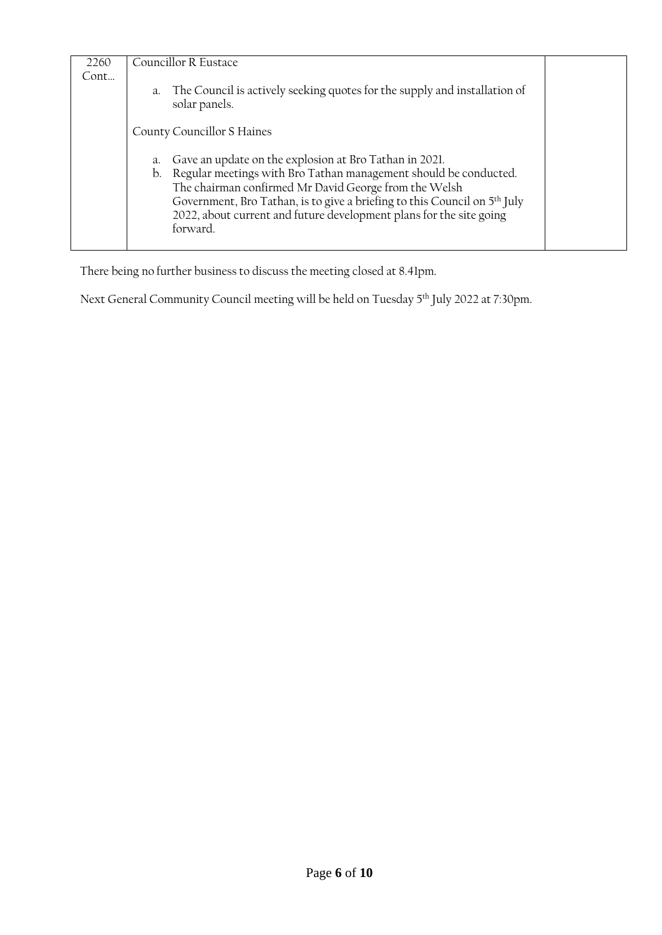| Councillor R Eustace                                                                                                                                                                                                                                                                                     |                                                           |
|----------------------------------------------------------------------------------------------------------------------------------------------------------------------------------------------------------------------------------------------------------------------------------------------------------|-----------------------------------------------------------|
|                                                                                                                                                                                                                                                                                                          |                                                           |
| a. The Council is actively seeking quotes for the supply and installation of<br>solar panels.                                                                                                                                                                                                            |                                                           |
| County Councillor S Haines                                                                                                                                                                                                                                                                               |                                                           |
|                                                                                                                                                                                                                                                                                                          |                                                           |
| b. Regular meetings with Bro Tathan management should be conducted.<br>The chairman confirmed Mr David George from the Welsh<br>Government, Bro Tathan, is to give a briefing to this Council on 5 <sup>th</sup> July<br>2022, about current and future development plans for the site going<br>forward. |                                                           |
|                                                                                                                                                                                                                                                                                                          | a. Gave an update on the explosion at Bro Tathan in 2021. |

There being no further business to discuss the meeting closed at 8.41pm.

Next General Community Council meeting will be held on Tuesday 5<sup>th</sup> July 2022 at 7:30pm.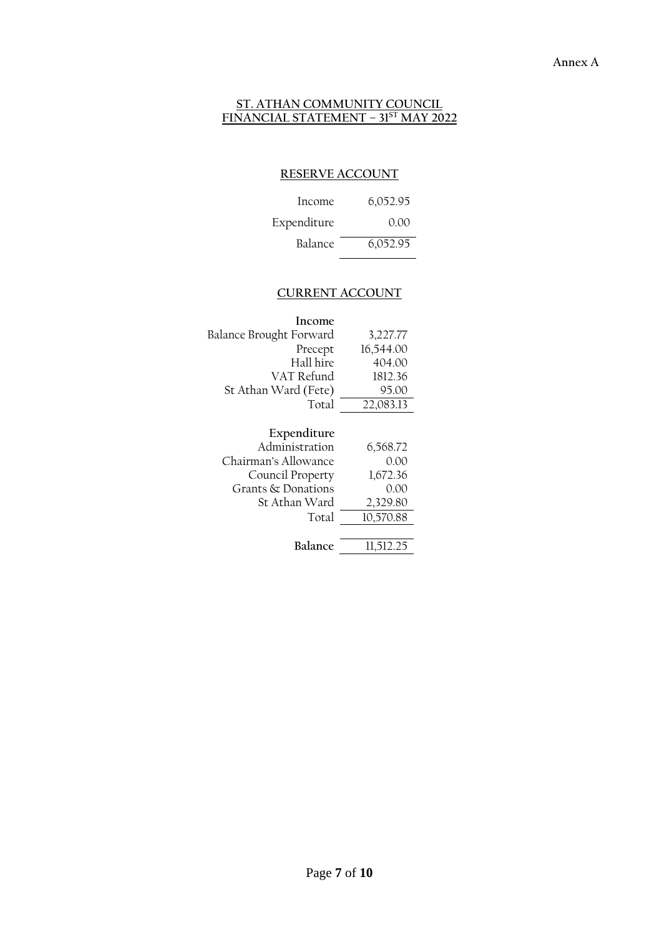#### **ST. ATHAN COMMUNITY COUNCIL FINANCIAL STATEMENT – 31ST MAY 2022**

# **RESERVE ACCOUNT**

| Income         | 6,052.95 |
|----------------|----------|
| Expenditure    | 0.OO     |
| <b>Balance</b> | 6,052.95 |

# **CURRENT ACCOUNT**

| Income                  |           |
|-------------------------|-----------|
| Balance Brought Forward | 3,227.77  |
| Precept                 | 16,544.00 |
| Hall hire               | 404.00    |
| VAT Refund              | 1812.36   |
| St Athan Ward (Fete)    | 95.00     |
| Total                   | 22,083.13 |

| Expenditure          |           |
|----------------------|-----------|
| Administration       | 6,568.72  |
| Chairman's Allowance | 0.00      |
| Council Property     | 1,672.36  |
| Grants & Donations   | 0.00      |
| St Athan Ward        | 2,329.80  |
| Total                | 10,570.88 |
|                      |           |
| <b>Balance</b>       | 11,512.25 |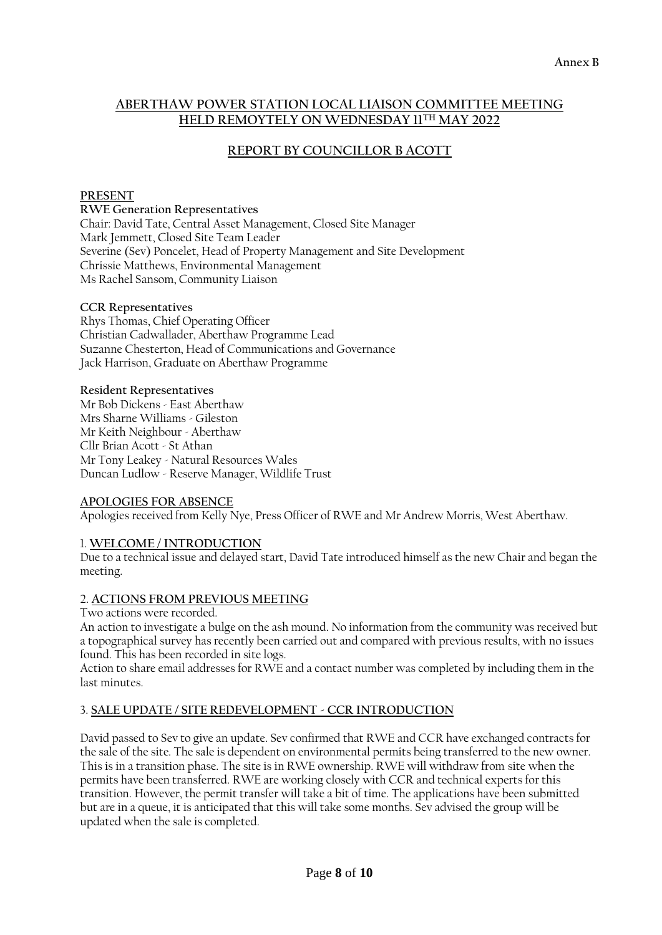## **ABERTHAW POWER STATION LOCAL LIAISON COMMITTEE MEETING HELD REMOYTELY ON WEDNESDAY 11TH MAY 2022**

# **REPORT BY COUNCILLOR B ACOTT**

## **PRESENT**

#### **RWE Generation Representatives**

Chair: David Tate, Central Asset Management, Closed Site Manager Mark Jemmett, Closed Site Team Leader Severine (Sev) Poncelet, Head of Property Management and Site Development Chrissie Matthews, Environmental Management Ms Rachel Sansom, Community Liaison

#### **CCR Representatives**

Rhys Thomas, Chief Operating Officer Christian Cadwallader, Aberthaw Programme Lead Suzanne Chesterton, Head of Communications and Governance Jack Harrison, Graduate on Aberthaw Programme

#### **Resident Representatives**

Mr Bob Dickens - East Aberthaw Mrs Sharne Williams - Gileston Mr Keith Neighbour - Aberthaw Cllr Brian Acott - St Athan Mr Tony Leakey - Natural Resources Wales Duncan Ludlow - Reserve Manager, Wildlife Trust

## **APOLOGIES FOR ABSENCE**

Apologies received from Kelly Nye, Press Officer of RWE and Mr Andrew Morris, West Aberthaw.

## 1. **WELCOME / INTRODUCTION**

Due to a technical issue and delayed start, David Tate introduced himself as the new Chair and began the meeting.

## 2. **ACTIONS FROM PREVIOUS MEETING**

Two actions were recorded.

An action to investigate a bulge on the ash mound. No information from the community was received but a topographical survey has recently been carried out and compared with previous results, with no issues found. This has been recorded in site logs.

Action to share email addresses for RWE and a contact number was completed by including them in the last minutes.

## 3. **SALE UPDATE / SITE REDEVELOPMENT - CCR INTRODUCTION**

David passed to Sev to give an update. Sev confirmed that RWE and CCR have exchanged contracts for the sale of the site. The sale is dependent on environmental permits being transferred to the new owner. This is in a transition phase. The site is in RWE ownership. RWE will withdraw from site when the permits have been transferred. RWE are working closely with CCR and technical experts for this transition. However, the permit transfer will take a bit of time. The applications have been submitted but are in a queue, it is anticipated that this will take some months. Sev advised the group will be updated when the sale is completed.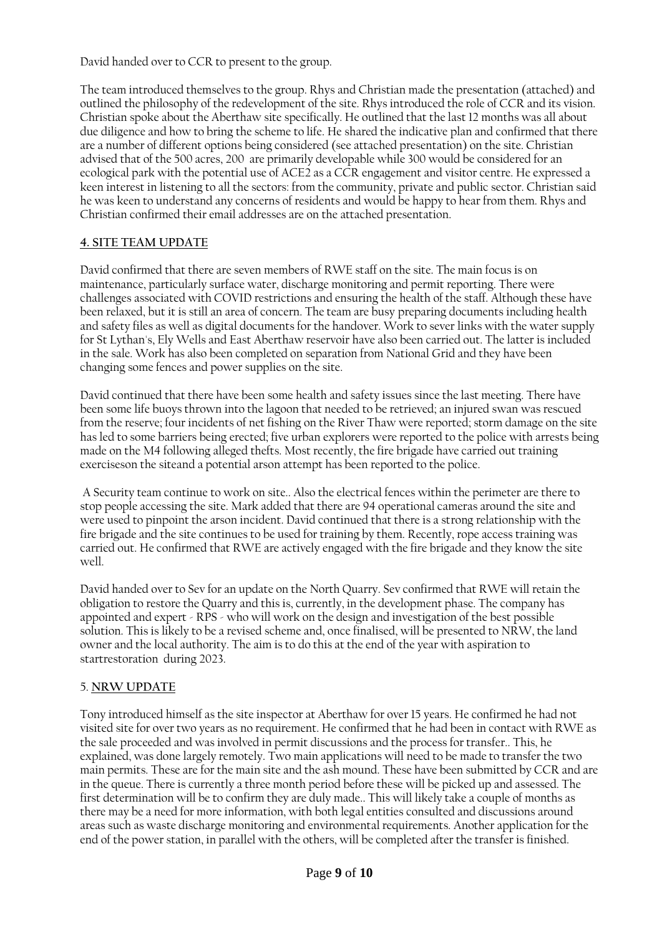David handed over to CCR to present to the group.

The team introduced themselves to the group. Rhys and Christian made the presentation (attached) and outlined the philosophy of the redevelopment of the site. Rhys introduced the role of CCR and its vision. Christian spoke about the Aberthaw site specifically. He outlined that the last 12 months was all about due diligence and how to bring the scheme to life. He shared the indicative plan and confirmed that there are a number of different options being considered (see attached presentation) on the site. Christian advised that of the 500 acres, 200 are primarily developable while 300 would be considered for an ecological park with the potential use of ACE2 as a CCR engagement and visitor centre. He expressed a keen interest in listening to all the sectors: from the community, private and public sector. Christian said he was keen to understand any concerns of residents and would be happy to hear from them. Rhys and Christian confirmed their email addresses are on the attached presentation.

# **4. SITE TEAM UPDATE**

David confirmed that there are seven members of RWE staff on the site. The main focus is on maintenance, particularly surface water, discharge monitoring and permit reporting. There were challenges associated with COVID restrictions and ensuring the health of the staff. Although these have been relaxed, but it is still an area of concern. The team are busy preparing documents including health and safety files as well as digital documents for the handover. Work to sever links with the water supply for St Lythan's, Ely Wells and East Aberthaw reservoir have also been carried out. The latter is included in the sale. Work has also been completed on separation from National Grid and they have been changing some fences and power supplies on the site.

David continued that there have been some health and safety issues since the last meeting. There have been some life buoys thrown into the lagoon that needed to be retrieved; an injured swan was rescued from the reserve; four incidents of net fishing on the River Thaw were reported; storm damage on the site has led to some barriers being erected; five urban explorers were reported to the police with arrests being made on the M4 following alleged thefts. Most recently, the fire brigade have carried out training exerciseson the siteand a potential arson attempt has been reported to the police.

A Security team continue to work on site.. Also the electrical fences within the perimeter are there to stop people accessing the site. Mark added that there are 94 operational cameras around the site and were used to pinpoint the arson incident. David continued that there is a strong relationship with the fire brigade and the site continues to be used for training by them. Recently, rope access training was carried out. He confirmed that RWE are actively engaged with the fire brigade and they know the site well.

David handed over to Sev for an update on the North Quarry. Sev confirmed that RWE will retain the obligation to restore the Quarry and this is, currently, in the development phase. The company has appointed and expert - RPS - who will work on the design and investigation of the best possible solution. This is likely to be a revised scheme and, once finalised, will be presented to NRW, the land owner and the local authority. The aim is to do this at the end of the year with aspiration to startrestoration during 2023.

## 5. **NRW UPDATE**

Tony introduced himself as the site inspector at Aberthaw for over 15 years. He confirmed he had not visited site for over two years as no requirement. He confirmed that he had been in contact with RWE as the sale proceeded and was involved in permit discussions and the process for transfer.. This, he explained, was done largely remotely. Two main applications will need to be made to transfer the two main permits. These are for the main site and the ash mound. These have been submitted by CCR and are in the queue. There is currently a three month period before these will be picked up and assessed. The first determination will be to confirm they are duly made.. This will likely take a couple of months as there may be a need for more information, with both legal entities consulted and discussions around areas such as waste discharge monitoring and environmental requirements. Another application for the end of the power station, in parallel with the others, will be completed after the transfer is finished.